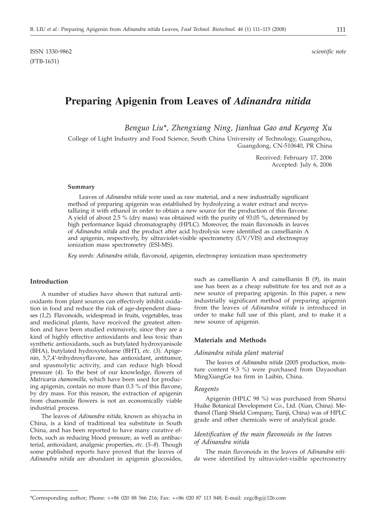# **Preparing Apigenin from Leaves of** *Adinandra nitida*

*Benguo Liu\*, Zhengxiang Ning, Jianhua Gao and Keyong Xu*

College of Light Industry and Food Science, South China University of Technology, Guangzhou, Guangdong, CN-510640, PR China

> Received: February 17, 2006 Accepted: July 6, 2006

#### **Summary**

Leaves of *Adinandra nitida* were used as raw material, and a new industrially significant method of preparing apigenin was established by hydrolyzing a water extract and recrystallizing it with ethanol in order to obtain a new source for the production of this flavone. A yield of about 2.5 % (dry mass) was obtained with the purity of 93.05 %, determined by high performance liquid chromatography (HPLC). Moreover, the main flavonoids in leaves of *Adinandra nitida* and the product after acid hydrolysis were identified as camellianin A and apigenin, respectively, by ultraviolet-visible spectrometry (UV/VIS) and electrospray ionization mass spectrometry (ESI-MS).

*Key words*: *Adinandra nitida*, flavonoid, apigenin, electrospray ionization mass spectrometry

# **Introduction**

A number of studies have shown that natural antioxidants from plant sources can effectively inhibit oxidation in food and reduce the risk of age-dependent diseases (*1,2*). Flavonoids, widespread in fruits, vegetables, teas and medicinal plants, have received the greatest attention and have been studied extensively, since they are a kind of highly effective antioxidants and less toxic than synthetic antioxidants, such as butylated hydroxyanisole (BHA), butylated hydroxytoluene (BHT), *etc*. (*3*). Apigenin, 5,7,4'-trihydroxyflavone, has antioxidant, antitumor, and spasmolytic activity, and can reduce high blood pressure (*4*). To the best of our knowledge, flowers of *Matricaria chamomilla*, which have been used for producing apigenin, contain no more than 0.3 % of this flavone, by dry mass. For this reason, the extraction of apigenin from chamomile flowers is not an economically viable industrial process.

The leaves of *Adinandra nitida*, known as shiyacha in China, is a kind of traditional tea substitute in South China, and has been reported to have many curative effects, such as reducing blood pressure, as well as antibacterial, antioxidant, analgesic properties, *etc*. (*5–8*). Though some published reports have proved that the leaves of *Adinandra nitida* are abundant in apigenin glucosides, such as camellianin A and camellianin B (*9*), its main use has been as a cheap substitute for tea and not as a new source of preparing apigenin. In this paper, a new industrially significant method of preparing apigenin from the leaves of *Adinandra nitida* is introduced in order to make full use of this plant, and to make it a new source of apigenin.

### **Materials and Methods**

#### *Adinandra nitida plant material*

The leaves of *Adinandra nitida* (2005 production, moisture content 9.3 %) were purchased from Dayaoshan MingXiangGe tea firm in Laibin, China.

#### *Reagents*

Apigenin (HPLC 98 %) was purchased from Shanxi Huike Botanical Development Co., Ltd. (Xian, China). Methanol (Tianji Shield Company, Tianji, China) was of HPLC grade and other chemicals were of analytical grade.

### *Identification of the main flavonoids in the leaves of Adinandra nitida*

The main flavonoids in the leaves of *Adinandra nitida* were identified by ultraviolet-visible spectrometry

<sup>\*</sup>Corresponding author; Phone: ++86 020 88 566 216; Fax: ++86 020 87 113 848; E-mail: zzgclbg*@*126.com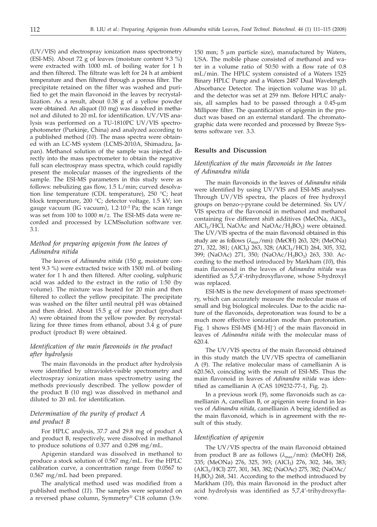(UV/VIS) and electrospray ionization mass spectrometry (ESI-MS). About 72 g of leaves (moisture content 9.3 %) were extracted with 1000 mL of boiling water for 1 h and then filtered. The filtrate was left for 24 h at ambient temperature and then filtered through a porous filter. The precipitate retained on the filter was washed and purified to get the main flavonoid in the leaves by recrystallization. As a result, about 0.38 g of a yellow powder were obtained. An aliquot (10 mg) was dissolved in methanol and diluted to 20 mL for identification. UV/VIS analysis was performed on a TU-1810PC UV/VIS spectrophotometer (Purkinje, China) and analyzed according to a published method (*10*). The mass spectra were obtained with an LC-MS system (LCMS-2010A, Shimadzu, Japan). Methanol solution of the sample was injected directly into the mass spectrometer to obtain the negative full scan electrospray mass spectra, which could rapidly present the molecular masses of the ingredients of the sample. The ESI-MS parameters in this study were as follows: nebulizing gas flow, 1.5 L/min; curved desolvation line temperature (CDL temperature), 250 °C; heat block temperature, 200 °C; detector voltage, 1.5 kV; ion gauge vacuum (IG vacuum), 1.2·10–3 Pa; the scan range was set from 100 to 1000 *m*/*z*. The ESI-MS data were recorded and processed by LCMSsolution software ver. 3.1.

# *Method for preparing apigenin from the leaves of Adinandra nitida*

The leaves of *Adinandra nitida* (150 g, moisture content 9.3 %) were extracted twice with 1500 mL of boiling water for 1 h and then filtered. After cooling, sulphuric acid was added to the extract in the ratio of 1:50 (by volume). The mixture was heated for 20 min and then filtered to collect the yellow precipitate. The precipitate was washed on the filter until neutral pH was obtained and then dried. About 15.5 g of raw product (product A) were obtained from the yellow powder. By recrystallizing for three times from ethanol, about 3.4 g of pure product (product B) were obtained.

# *Identification of the main flavonoids in the product after hydrolysis*

The main flavonoids in the product after hydrolysis were identified by ultraviolet-visible spectrometry and electrospray ionization mass spectrometry using the methods previously described. The yellow powder of the product B (10 mg) was dissolved in methanol and diluted to 20 mL for identification.

# *Determination of the purity of product A and product B*

For HPLC analysis, 37.7 and 29.8 mg of product A and product B, respectively, were dissolved in methanol to produce solutions of 0.377 and 0.298 mg/mL.

Apigenin standard was dissolved in methanol to produce a stock solution of 0.567 mg/mL. For the HPLC calibration curve, a concentration range from 0.0567 to 0.567 mg/mL had been prepared.

The analytical method used was modified from a published method (*11*). The samples were separated on a reversed phase column, Symmetry® C18 column (3.9´ 150 mm; 5  $\mu$ m particle size), manufactured by Waters, USA. The mobile phase consisted of methanol and water in a volume ratio of 50:50 with a flow rate of 0.8 mL/min. The HPLC system consisted of a Waters 1525 Binary HPLC Pump and a Waters 2487 Dual Wavelength Absorbance Detector. The injection volume was  $10 \mu L$ and the detector was set at 259 nm. Before HPLC analysis, all samples had to be passed through a  $0.45$ -µm Millipore filter. The quantification of apigenin in the product was based on an external standard. The chromatographic data were recorded and processed by Breeze Systems software ver. 3.3.

# **Results and Discussion**

# *Identification of the main flavonoids in the leaves of Adinandra nitida*

The main flavonoids in the leaves of *Adinandra nitida* were identified by using UV/VIS and ESI-MS analyses. Through UV/VIS spectra, the places of free hydroxyl groups on benzo-y-pyrane could be determined. Six UV/ VIS spectra of the flavonoid in methanol and methanol containing five different shift additives (MeONa,  $AICI<sub>3</sub>$ ,  $AICI<sub>3</sub>/HCl$ , NaOAc and NaOAc/ $H<sub>3</sub>BO<sub>3</sub>$ ) were obtained. The UV/VIS spectra of the main flavonoid obtained in this study are as follows (*l*max/nm): (MeOH) 263, 329; (MeONa) 271, 322, 381; (AlCl<sub>3</sub>) 263, 328; (AlCl<sub>3</sub>/HCl) 264, 305, 332, 399; (NaOAc) 271, 350; (NaOAc/H<sub>3</sub>BO<sub>3</sub>) 263, 330. According to the method introduced by Markham (*10*), this main flavonoid in the leaves of *Adinandra nitida* was identified as 5,7,4'-trihydroxyflavone, whose 5-hydroxyl was replaced.

ESI-MS is the new development of mass spectrometry, which can accurately measure the molecular mass of small and big biological molecules. Due to the acidic nature of the flavonoids, deprotonation was found to be a much more effective ionization mode than protonation. Fig. 1 shows ESI-MS ([M-H]<sup>-</sup>) of the main flavonoid in<br>leaves of *Adinandra nitida with the molecular mass* of leaves of *Adinandra nitida* with the molecular mass of 620.4.

The UV/VIS spectra of the main flavonoid obtained in this study match the UV/VIS spectra of camellianin A (*9*). The relative molecular mass of camellianin A is 620.563, coinciding with the result of ESI-MS. Thus the main flavonoid in leaves of *Adinandra nitida* was identified as camellianin A (CAS 109232-77-1, Fig. 2).

In a previous work (*9*), some flavonoids such as camellianin A, camellian B, or apigenin were found in leaves of *Adinandra nitida*, camellianin A being identified as the main flavonoid, which is in agreement with the result of this study.

#### *Identification of apigenin*

The UV/VIS spectra of the main flavonoid obtained from product B are as follows  $(\lambda_{\text{max}}/\text{nm})$ : (MeOH) 268, 335; (MeONa) 276, 325, 393; (AlCl<sub>3</sub>) 276, 302, 346, 383; (AlCl3/HCl) 277, 301, 343, 382; (NaOAc) 275, 382; (NaOAc/  $H_3BO_3$ ) 268, 341. According to the method introduced by Markham (*10*), this main flavonoid in the product after acid hydrolysis was identified as 5,7,4'-trihydroxyflavone.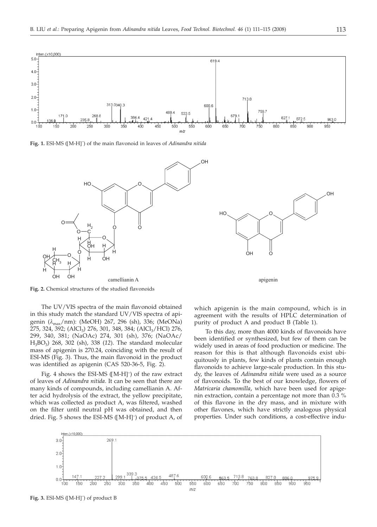

OH

**Fig. 1.** ESI-MS ([M-H] – ) of the main flavonoid in leaves of *Adinandra nitida*





Fig. 2. Chemical structures of the studied flavonoids

The UV/VIS spectra of the main flavonoid obtained in this study match the standard UV/VIS spectra of apigenin (*l*max/nm): (MeOH) 267, 296 (sh), 336; (MeONa)  $275$ , 324, 392; (AlCl<sub>3</sub>) 276, 301, 348, 384; (AlCl<sub>3</sub>/HCl) 276, 299, 340, 381; (NaOAc) 274, 301 (sh), 376; (NaOAc/ H3BO3) 268, 302 (sh), 338 (*12*). The standard molecular mass of apigenin is 270.24, coinciding with the result of ESI-MS (Fig. 3). Thus, the main flavonoid in the product was identified as apigenin (CAS 520-36-5, Fig. 2).

Fig. 4 shows the ESI-MS ([M-H]<sup>-</sup>) of the raw extract<br>aves of *Adinandra nitida* It can be seen that there are of leaves of *Adinandra nitida*. It can be seen that there are many kinds of compounds, including camellianin A. After acid hydrolysis of the extract, the yellow precipitate, which was collected as product A, was filtered, washed on the filter until neutral pH was obtained, and then dried. Fig. 5 shows the ESI-MS ([M-H] –) of product A, of

which apigenin is the main compound, which is in agreement with the results of HPLC determination of purity of product A and product B (Table 1).

apigenin

To this day, more than 4000 kinds of flavonoids have been identified or synthesized, but few of them can be widely used in areas of food production or medicine. The reason for this is that although flavonoids exist ubiquitously in plants, few kinds of plants contain enough flavonoids to achieve large-scale production. In this study, the leaves of *Adinandra nitida* were used as a source of flavonoids. To the best of our knowledge, flowers of *Matricaria chamomilla*, which have been used for apigenin extraction, contain a percentage not more than 0.3 % of this flavone in the dry mass, and in mixture with other flavones, which have strictly analogous physical properties. Under such conditions, a cost-effective indu-

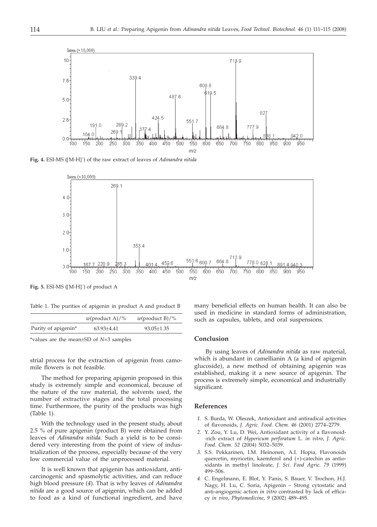

**Fig. 4.** ESI-MS ([M-H] – ) of the raw extract of leaves of *Adinandra nitida*



**Fig. 5.** ESI-MS ([M-H] – ) of product A

Table 1. The purities of apigenin in product A and product B

|                                 | <i>w</i> (product A)/% | $w$ (product B)/% |
|---------------------------------|------------------------|-------------------|
| Purity of apigenin <sup>*</sup> | $63.93 \pm 4.41$       | $93.05 + 1.35$    |

\*values are the mean±SD of *<sup>N</sup>*=3 samples

strial process for the extraction of apigenin from camomile flowers is not feasible.

The method for preparing apigenin proposed in this study is extremely simple and economical, because of the nature of the raw material, the solvents used, the number of extractive stages and the total processing time. Furthermore, the purity of the products was high (Table 1).

With the technology used in the present study, about 2.5 % of pure apigenin (product B) were obtained from leaves of *Adinandra nitida*. Such a yield is to be considered very interesting from the point of view of industrialization of the process, especially because of the very low commercial value of the unprocessed material.

It is well known that apigenin has antioxidant, anticarcinogenic and spasmolytic activities, and can reduce high blood pressure (*4*). That is why leaves of *Adinandra nitida* are a good source of apigenin, which can be added to food as a kind of functional ingredient, and have many beneficial effects on human health. It can also be used in medicine in standard forms of administration, such as capsules, tablets, and oral suspensions.

### **Conclusion**

By using leaves of *Adinandra nitida* as raw material, which is abundant in camellianin A (a kind of apigenin glucoside), a new method of obtaining apigenin was established, making it a new source of apigenin. The process is extremely simple, economical and industrially significant.

### **References**

- *1.* S. Burda, W. Oleszek, Antioxidant and antiradical activities of flavonoids, *J. Agric. Food. Chem. 46* (2001) 2774–2779.
- *2.* Y. Zou, Y. Lu, D. Wei, Antioxidant activity of a flavonoid- -rich extract of *Hypericum perforatum* L. *in vitro*, *J. Agric. Food. Chem. 52* (2004) 5032–5039.
- *3.* S.S. Pekkarinen, I.M. Heinonen, A.I. Hopia, Flavonoids quercetin, myricetin, kaemferol and (+)-catechin as antioxidants in methyl linoleate, *J. Sci. Food Agric. 79* (1999) 499–506.
- *4.* C. Engelmann, E. Blot, Y. Panis, S. Bauer, V. Trochon, H.J. Nagy, H. Lu, C. Soria, Apigenin – Strong cytostatic and anti-angiogenic action *in vitro* contrasted by lack of efficacy *in vivo*, *Phytomedicine*, *9* (2002) 489–495.